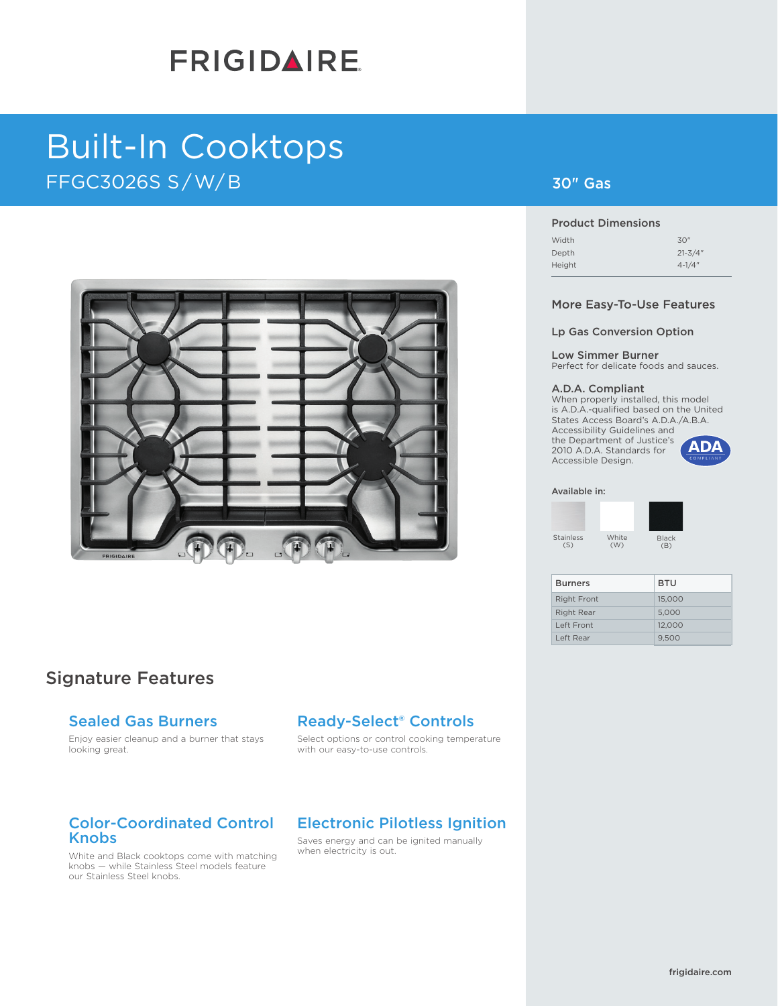# **FRIGIDAIRE**

# Built-In Cooktops  $\mathsf{FFGC3O26S}\mathrel{\mathsf{S}}/\mathsf{W/B}$  . The contraction of the contraction of  $\mathsf{30}^n$  Gas



# Signature Features

## Sealed Gas Burners

Enjoy easier cleanup and a burner that stays looking great.

# Ready-Select® Controls

Select options or control cooking temperature with our easy-to-use controls.

## Color-Coordinated Control Knobs

White and Black cooktops come with matching knobs — while Stainless Steel models feature our Stainless Steel knobs.

## Electronic Pilotless Ignition

Saves energy and can be ignited manually when electricity is out.

### 30" Gas

#### Product Dimensions

#### More Easy-To-Use Features

#### Lp Gas Conversion Option

#### Low Simmer Burner

Perfect for delicate foods and sauces.

#### A.D.A. Compliant

When properly installed, this model is A.D.A.-qualified based on the United States Access Board's A.D.A./A.B.A. Accessibility Guidelines and the Department of Justice's **ADA** 2010 A.D.A. Standards for Accessible Design.

#### Available in:

White (W) Stainless  $(S)$ 

Black  $(B)$ 

| <b>Burners</b>     | <b>BTU</b> |
|--------------------|------------|
| <b>Right Front</b> | 15,000     |
| <b>Right Rear</b>  | 5.000      |
| Left Front         | 12.000     |
| Left Rear          | 9.500      |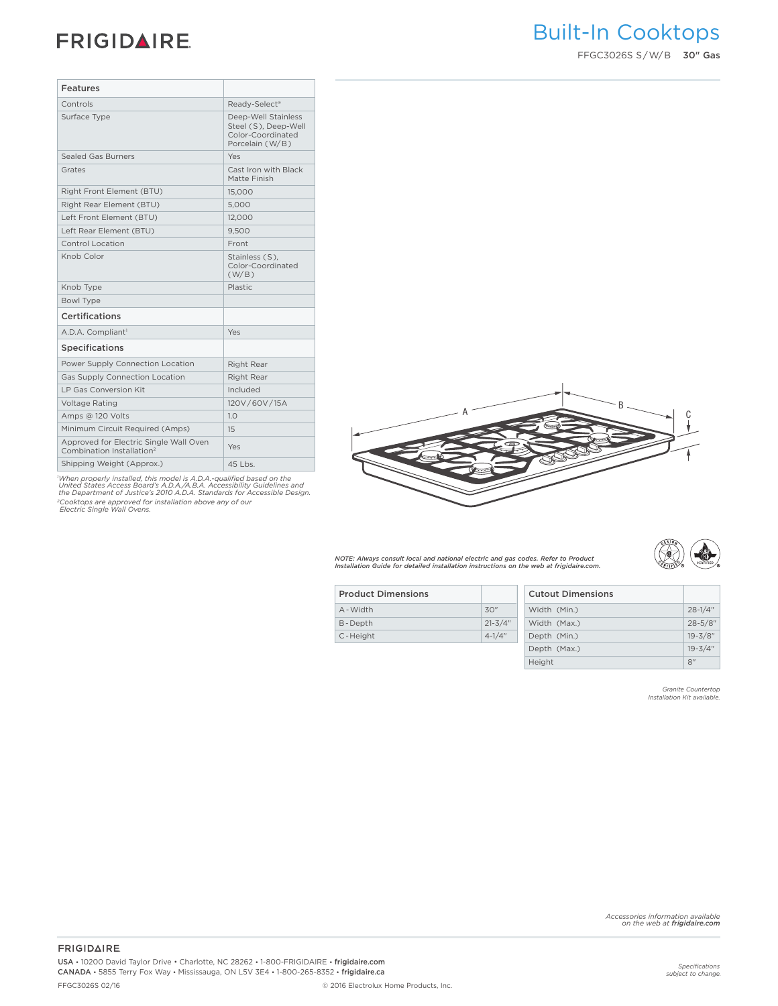# **FRIGIDAIRE**

| Features                                                                        |                                                                                     |
|---------------------------------------------------------------------------------|-------------------------------------------------------------------------------------|
| Controls                                                                        | Ready-Select <sup>®</sup>                                                           |
| Surface Type                                                                    | Deep-Well Stainless<br>Steel (S), Deep-Well<br>Color-Coordinated<br>Porcelain (W/B) |
| <b>Sealed Gas Burners</b>                                                       | Yes                                                                                 |
| Grates                                                                          | Cast Iron with Black<br>Matte Finish                                                |
| Right Front Element (BTU)                                                       | 15,000                                                                              |
| Right Rear Element (BTU)                                                        | 5,000                                                                               |
| Left Front Element (BTU)                                                        | 12,000                                                                              |
| Left Rear Element (BTU)                                                         | 9,500                                                                               |
| Control Location                                                                | Front                                                                               |
| Knob Color                                                                      | Stainless (S),<br>Color-Coordinated<br>(W/B)                                        |
| Knob Type                                                                       | Plastic                                                                             |
| Bowl Type                                                                       |                                                                                     |
| <b>Certifications</b>                                                           |                                                                                     |
| A.D.A. Compliant <sup>1</sup>                                                   | Yes                                                                                 |
| <b>Specifications</b>                                                           |                                                                                     |
| Power Supply Connection Location                                                | Right Rear                                                                          |
| Gas Supply Connection Location                                                  | Right Rear                                                                          |
| LP Gas Conversion Kit                                                           | Included                                                                            |
| Voltage Rating                                                                  | 120V/60V/15A                                                                        |
| Amps @ 120 Volts                                                                | 1.0                                                                                 |
| Minimum Circuit Required (Amps)                                                 | 15                                                                                  |
| Approved for Electric Single Wall Oven<br>Combination Installation <sup>2</sup> | Yes                                                                                 |
| Shipping Weight (Approx.)                                                       | 45 Lbs.                                                                             |

'When properly installed, this model is A.D.A.-qualified based on the<br>United States Access Board's A.D.A./A.B.A. Accessibility Guidelines and<br>the Department of Justice's 2010 A.D.A. Standards for Accessible Design. *2Cooktops are approved for installation above any of our Electric Single Wall Ovens.*



*NOTE: Always consult local and national electric and gas codes. Refer to Product Installation Guide for detailed installation instructions on the web at frigidaire.com.*



| <b>Product Dimensions</b> |             | <b>Cutout Dimensions</b> |
|---------------------------|-------------|--------------------------|
| A - Width                 | 30''        | Width (Min.)             |
| B-Depth                   | $21 - 3/4"$ | Width (Max.)             |
| C-Height                  | $4 - 1/4"$  | Depth (Min.)             |
|                           |             | Donth $(M_2v)$           |

| Width (Min.) | $28 - 1/4$ " |
|--------------|--------------|
| Width (Max.) | $28 - 5/8$ " |
| Depth (Min.) | $19 - 3/8"$  |
| Depth (Max.) | $19 - 3/4"$  |
| Height       | 8"           |
|              |              |

*Granite Countertop Installation Kit available.*